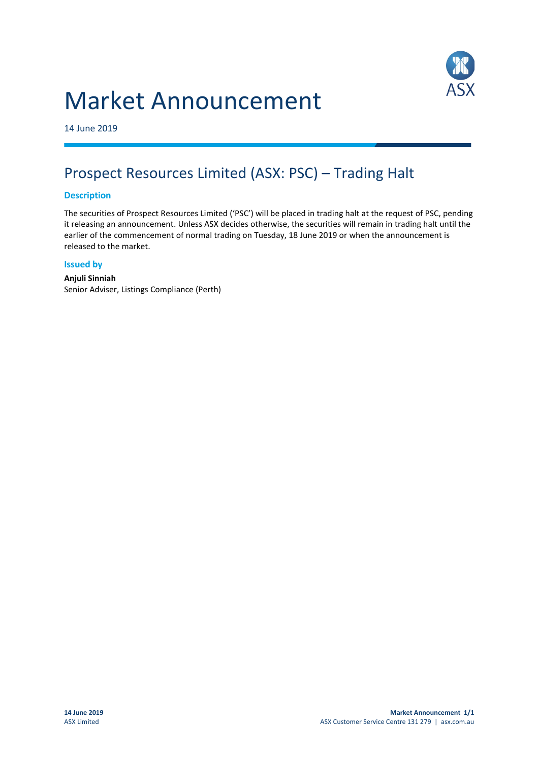# Market Announcement



14 June 2019

## Prospect Resources Limited (ASX: PSC) – Trading Halt

### **Description**

The securities of Prospect Resources Limited ('PSC') will be placed in trading halt at the request of PSC, pending it releasing an announcement. Unless ASX decides otherwise, the securities will remain in trading halt until the earlier of the commencement of normal trading on Tuesday, 18 June 2019 or when the announcement is released to the market.

#### **Issued by**

#### **Anjuli Sinniah** Senior Adviser, Listings Compliance (Perth)